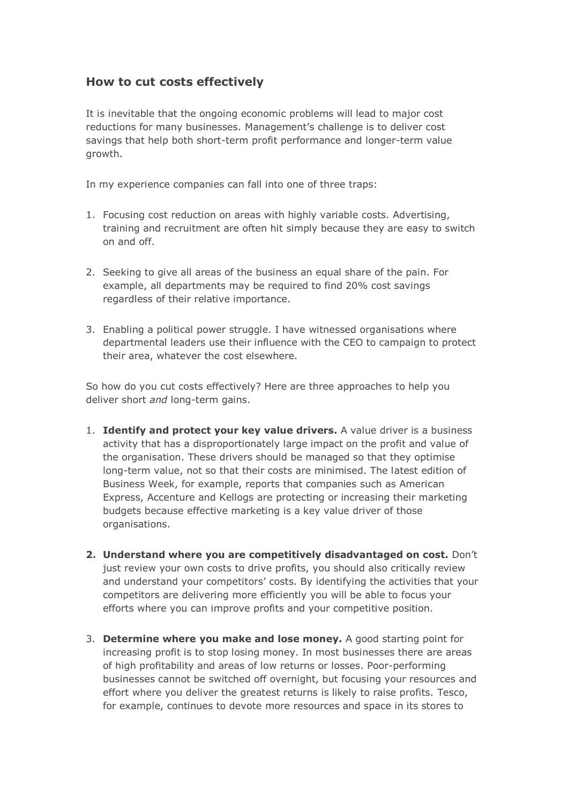## **How to cut costs effectively**

It is inevitable that the ongoing economic problems will lead to major cost reductions for many businesses. Management's challenge is to deliver cost savings that help both short-term profit performance and longer-term value growth.

In my experience companies can fall into one of three traps:

- 1. Focusing cost reduction on areas with highly variable costs. Advertising, training and recruitment are often hit simply because they are easy to switch on and off.
- 2. Seeking to give all areas of the business an equal share of the pain. For example, all departments may be required to find 20% cost savings regardless of their relative importance.
- 3. Enabling a political power struggle. I have witnessed organisations where departmental leaders use their influence with the CEO to campaign to protect their area, whatever the cost elsewhere.

So how do you cut costs effectively? Here are three approaches to help you deliver short *and* long-term gains.

- 1. **Identify and protect your key value drivers.** A value driver is a business activity that has a disproportionately large impact on the profit and value of the organisation. These drivers should be managed so that they optimise long-term value, not so that their costs are minimised. The latest edition of Business Week, for example, reports that companies such as American Express, Accenture and Kellogs are protecting or increasing their marketing budgets because effective marketing is a key value driver of those organisations.
- **2. Understand where you are competitively disadvantaged on cost.** Don't just review your own costs to drive profits, you should also critically review and understand your competitors' costs. By identifying the activities that your competitors are delivering more efficiently you will be able to focus your efforts where you can improve profits and your competitive position.
- 3. **Determine where you make and lose money.** A good starting point for increasing profit is to stop losing money. In most businesses there are areas of high profitability and areas of low returns or losses. Poor-performing businesses cannot be switched off overnight, but focusing your resources and effort where you deliver the greatest returns is likely to raise profits. Tesco, for example, continues to devote more resources and space in its stores to